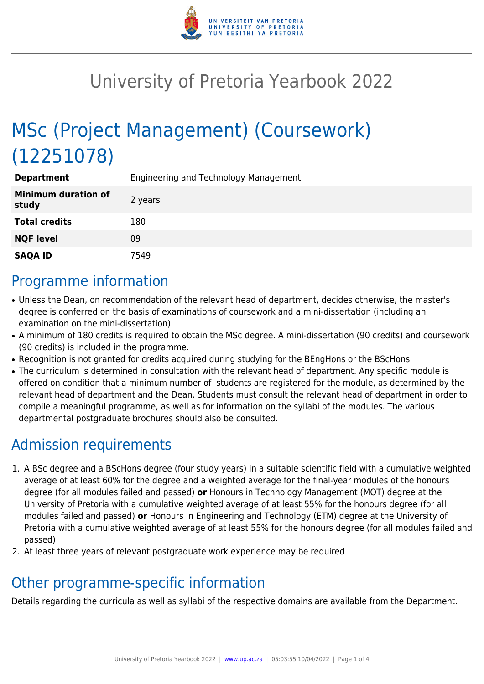

# University of Pretoria Yearbook 2022

# MSc (Project Management) (Coursework) (12251078)

| <b>Department</b>                   | Engineering and Technology Management |
|-------------------------------------|---------------------------------------|
| <b>Minimum duration of</b><br>study | 2 years                               |
| <b>Total credits</b>                | 180                                   |
| <b>NQF level</b>                    | 09                                    |
| <b>SAQA ID</b>                      | 7549                                  |

### Programme information

- Unless the Dean, on recommendation of the relevant head of department, decides otherwise, the master's degree is conferred on the basis of examinations of coursework and a mini-dissertation (including an examination on the mini-dissertation).
- A minimum of 180 credits is required to obtain the MSc degree. A mini-dissertation (90 credits) and coursework (90 credits) is included in the programme.
- Recognition is not granted for credits acquired during studying for the BEngHons or the BScHons.
- The curriculum is determined in consultation with the relevant head of department. Any specific module is offered on condition that a minimum number of students are registered for the module, as determined by the relevant head of department and the Dean. Students must consult the relevant head of department in order to compile a meaningful programme, as well as for information on the syllabi of the modules. The various departmental postgraduate brochures should also be consulted.

### Admission requirements

- 1. A BSc degree and a BScHons degree (four study years) in a suitable scientific field with a cumulative weighted average of at least 60% for the degree and a weighted average for the final-year modules of the honours degree (for all modules failed and passed) **or** Honours in Technology Management (MOT) degree at the University of Pretoria with a cumulative weighted average of at least 55% for the honours degree (for all modules failed and passed) **or** Honours in Engineering and Technology (ETM) degree at the University of Pretoria with a cumulative weighted average of at least 55% for the honours degree (for all modules failed and passed)
- 2. At least three years of relevant postgraduate work experience may be required

## Other programme-specific information

Details regarding the curricula as well as syllabi of the respective domains are available from the Department.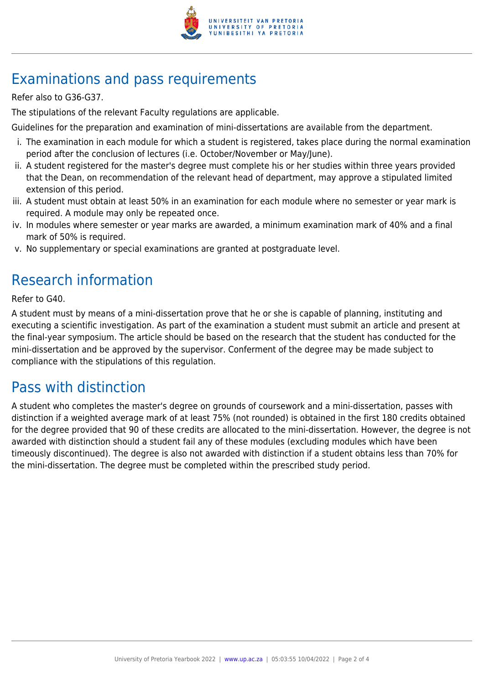

## Examinations and pass requirements

Refer also to G36-G37.

The stipulations of the relevant Faculty regulations are applicable.

Guidelines for the preparation and examination of mini-dissertations are available from the department.

- i. The examination in each module for which a student is registered, takes place during the normal examination period after the conclusion of lectures (i.e. October/November or May/June).
- ii. A student registered for the master's degree must complete his or her studies within three years provided that the Dean, on recommendation of the relevant head of department, may approve a stipulated limited extension of this period.
- iii. A student must obtain at least 50% in an examination for each module where no semester or year mark is required. A module may only be repeated once.
- iv. In modules where semester or year marks are awarded, a minimum examination mark of 40% and a final mark of 50% is required.
- v. No supplementary or special examinations are granted at postgraduate level.

### Research information

Refer to G40.

A student must by means of a mini-dissertation prove that he or she is capable of planning, instituting and executing a scientific investigation. As part of the examination a student must submit an article and present at the final-year symposium. The article should be based on the research that the student has conducted for the mini-dissertation and be approved by the supervisor. Conferment of the degree may be made subject to compliance with the stipulations of this regulation.

#### Pass with distinction

A student who completes the master's degree on grounds of coursework and a mini-dissertation, passes with distinction if a weighted average mark of at least 75% (not rounded) is obtained in the first 180 credits obtained for the degree provided that 90 of these credits are allocated to the mini-dissertation. However, the degree is not awarded with distinction should a student fail any of these modules (excluding modules which have been timeously discontinued). The degree is also not awarded with distinction if a student obtains less than 70% for the mini-dissertation. The degree must be completed within the prescribed study period.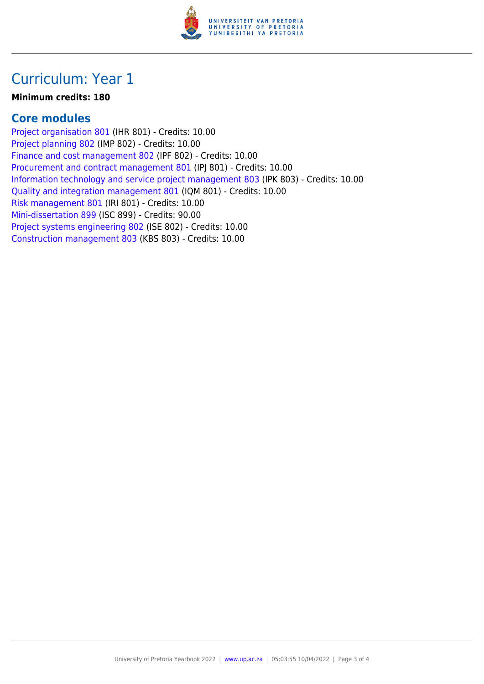

### Curriculum: Year 1

#### **Minimum credits: 180**

#### **Core modules**

[Project organisation 801](https://www.up.ac.za/mechanical-and-aeronautical-engineering/yearbooks/2022/modules/view/IHR 801) (IHR 801) - Credits: 10.00 [Project planning 802](https://www.up.ac.za/mechanical-and-aeronautical-engineering/yearbooks/2022/modules/view/IMP 802) (IMP 802) - Credits: 10.00 [Finance and cost management 802](https://www.up.ac.za/mechanical-and-aeronautical-engineering/yearbooks/2022/modules/view/IPF 802) (IPF 802) - Credits: 10.00 [Procurement and contract management 801](https://www.up.ac.za/mechanical-and-aeronautical-engineering/yearbooks/2022/modules/view/IPJ 801) (IPJ 801) - Credits: 10.00 [Information technology and service project management 803](https://www.up.ac.za/mechanical-and-aeronautical-engineering/yearbooks/2022/modules/view/IPK 803) (IPK 803) - Credits: 10.00 [Quality and integration management 801](https://www.up.ac.za/mechanical-and-aeronautical-engineering/yearbooks/2022/modules/view/IQM 801) (IQM 801) - Credits: 10.00 [Risk management 801](https://www.up.ac.za/mechanical-and-aeronautical-engineering/yearbooks/2022/modules/view/IRI 801) (IRI 801) - Credits: 10.00 [Mini-dissertation 899](https://www.up.ac.za/mechanical-and-aeronautical-engineering/yearbooks/2022/modules/view/ISC 899) (ISC 899) - Credits: 90.00 [Project systems engineering 802](https://www.up.ac.za/mechanical-and-aeronautical-engineering/yearbooks/2022/modules/view/ISE 802) (ISE 802) - Credits: 10.00 [Construction management 803](https://www.up.ac.za/mechanical-and-aeronautical-engineering/yearbooks/2022/modules/view/KBS 803) (KBS 803) - Credits: 10.00